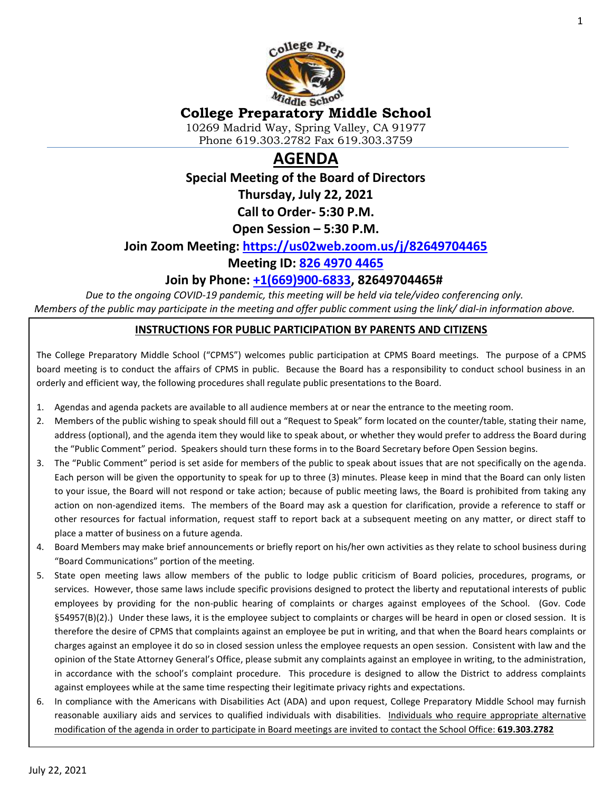

### **College Preparatory Middle School**

10269 Madrid Way, Spring Valley, CA 91977 Phone 619.303.2782 Fax 619.303.3759

# **AGENDA**

**Special Meeting of the Board of Directors**

**Thursday, July 22, 2021**

**Call to Order- 5:30 P.M.**

**Open Session – 5:30 P.M.**

#### **Join Zoom Meeting: <https://us02web.zoom.us/j/82649704465>**

#### **Meeting ID: [826 4970 4465](tel:826%204970%204465)**

#### **Join by Phone: [+1\(669\)900-6833,](tel:+16699006833) 82649704465#**

*Due to the ongoing COVID-19 pandemic, this meeting will be held via tele/video conferencing only. Members of the public may participate in the meeting and offer public comment using the link/ dial-in information above.*

#### **INSTRUCTIONS FOR PUBLIC PARTICIPATION BY PARENTS AND CITIZENS**

The College Preparatory Middle School ("CPMS") welcomes public participation at CPMS Board meetings. The purpose of a CPMS board meeting is to conduct the affairs of CPMS in public. Because the Board has a responsibility to conduct school business in an orderly and efficient way, the following procedures shall regulate public presentations to the Board.

- 1. Agendas and agenda packets are available to all audience members at or near the entrance to the meeting room.
- 2. Members of the public wishing to speak should fill out a "Request to Speak" form located on the counter/table, stating their name, address (optional), and the agenda item they would like to speak about, or whether they would prefer to address the Board during the "Public Comment" period. Speakers should turn these forms in to the Board Secretary before Open Session begins.
- 3. The "Public Comment" period is set aside for members of the public to speak about issues that are not specifically on the agenda. Each person will be given the opportunity to speak for up to three (3) minutes. Please keep in mind that the Board can only listen to your issue, the Board will not respond or take action; because of public meeting laws, the Board is prohibited from taking any action on non-agendized items. The members of the Board may ask a question for clarification, provide a reference to staff or other resources for factual information, request staff to report back at a subsequent meeting on any matter, or direct staff to place a matter of business on a future agenda.
- 4. Board Members may make brief announcements or briefly report on his/her own activities as they relate to school business during "Board Communications" portion of the meeting.
- 5. State open meeting laws allow members of the public to lodge public criticism of Board policies, procedures, programs, or services. However, those same laws include specific provisions designed to protect the liberty and reputational interests of public employees by providing for the non-public hearing of complaints or charges against employees of the School. (Gov. Code §54957(B)(2).) Under these laws, it is the employee subject to complaints or charges will be heard in open or closed session. It is therefore the desire of CPMS that complaints against an employee be put in writing, and that when the Board hears complaints or charges against an employee it do so in closed session unless the employee requests an open session. Consistent with law and the opinion of the State Attorney General's Office, please submit any complaints against an employee in writing, to the administration, in accordance with the school's complaint procedure. This procedure is designed to allow the District to address complaints against employees while at the same time respecting their legitimate privacy rights and expectations.
- 6. In compliance with the Americans with Disabilities Act (ADA) and upon request, College Preparatory Middle School may furnish reasonable auxiliary aids and services to qualified individuals with disabilities. Individuals who require appropriate alternative modification of the agenda in order to participate in Board meetings are invited to contact the School Office: **619.303.2782**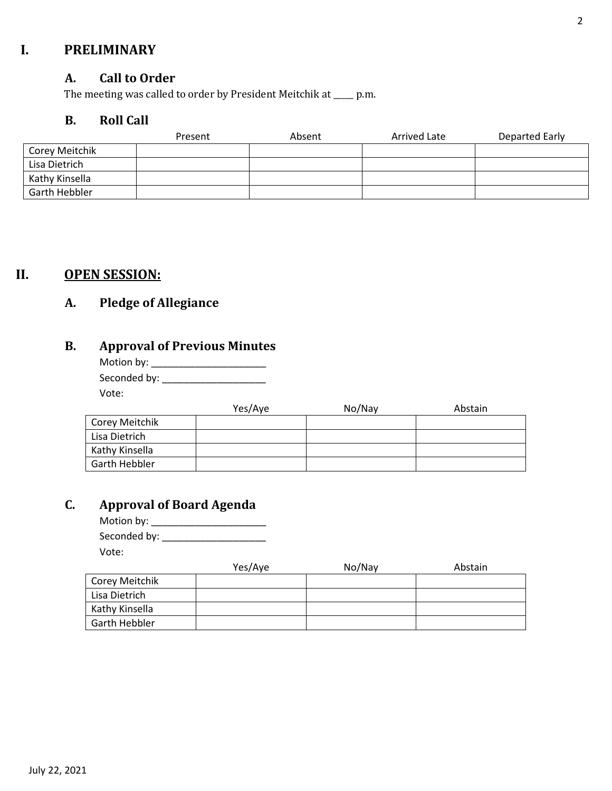### **I. PRELIMINARY**

#### **A. Call to Order**

The meeting was called to order by President Meitchik at \_\_\_\_\_ p.m.

### **B. Roll Call**

|                | Present | Absent | Arrived Late | Departed Early |
|----------------|---------|--------|--------------|----------------|
| Corey Meitchik |         |        |              |                |
| Lisa Dietrich  |         |        |              |                |
| Kathy Kinsella |         |        |              |                |
| Garth Hebbler  |         |        |              |                |

### **II. OPEN SESSION:**

### **A. Pledge of Allegiance**

## **B. Approval of Previous Minutes**

| Motion by: $\overline{\phantom{a}}$ |
|-------------------------------------|
| Seconded by:                        |
| Vote:                               |

|                | Yes/Aye | No/Nay | Abstain |
|----------------|---------|--------|---------|
| Corey Meitchik |         |        |         |
| Lisa Dietrich  |         |        |         |
| Kathy Kinsella |         |        |         |
| Garth Hebbler  |         |        |         |

### **C. Approval of Board Agenda**

Motion by: \_\_\_\_\_\_\_\_\_\_\_\_\_\_\_\_\_\_\_\_\_ Seconded by: \_\_\_\_\_\_\_\_\_\_\_\_\_\_\_\_\_\_\_

Vote:

|                | Yes/Aye | No/Nay | Abstain |
|----------------|---------|--------|---------|
| Corey Meitchik |         |        |         |
| Lisa Dietrich  |         |        |         |
| Kathy Kinsella |         |        |         |
| Garth Hebbler  |         |        |         |